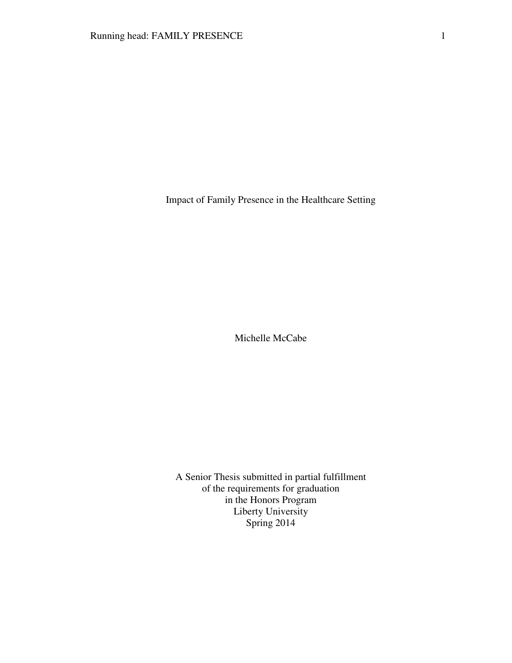Impact of Family Presence in the Healthcare Setting

Michelle McCabe

A Senior Thesis submitted in partial fulfillment of the requirements for graduation in the Honors Program Liberty University Spring 2014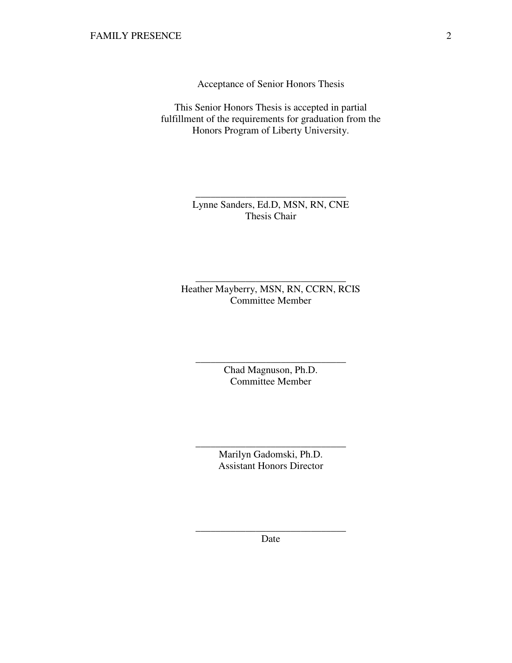Acceptance of Senior Honors Thesis

This Senior Honors Thesis is accepted in partial fulfillment of the requirements for graduation from the Honors Program of Liberty University.

> Lynne Sanders, Ed.D, MSN, RN, CNE Thesis Chair

\_\_\_\_\_\_\_\_\_\_\_\_\_\_\_\_\_\_\_\_\_\_\_\_\_\_\_\_\_\_

Heather Mayberry, MSN, RN, CCRN, RCIS Committee Member

\_\_\_\_\_\_\_\_\_\_\_\_\_\_\_\_\_\_\_\_\_\_\_\_\_\_\_\_\_\_

Chad Magnuson, Ph.D. Committee Member

\_\_\_\_\_\_\_\_\_\_\_\_\_\_\_\_\_\_\_\_\_\_\_\_\_\_\_\_\_\_

Marilyn Gadomski, Ph.D. Assistant Honors Director

\_\_\_\_\_\_\_\_\_\_\_\_\_\_\_\_\_\_\_\_\_\_\_\_\_\_\_\_\_\_

\_\_\_\_\_\_\_\_\_\_\_\_\_\_\_\_\_\_\_\_\_\_\_\_\_\_\_\_\_\_ Date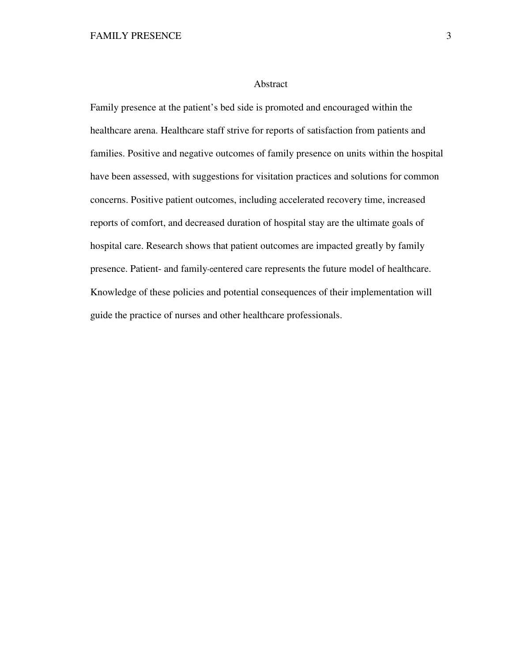## Abstract

Family presence at the patient's bed side is promoted and encouraged within the healthcare arena. Healthcare staff strive for reports of satisfaction from patients and families. Positive and negative outcomes of family presence on units within the hospital have been assessed, with suggestions for visitation practices and solutions for common concerns. Positive patient outcomes, including accelerated recovery time, increased reports of comfort, and decreased duration of hospital stay are the ultimate goals of hospital care. Research shows that patient outcomes are impacted greatly by family presence. Patient- and family-centered care represents the future model of healthcare. Knowledge of these policies and potential consequences of their implementation will guide the practice of nurses and other healthcare professionals.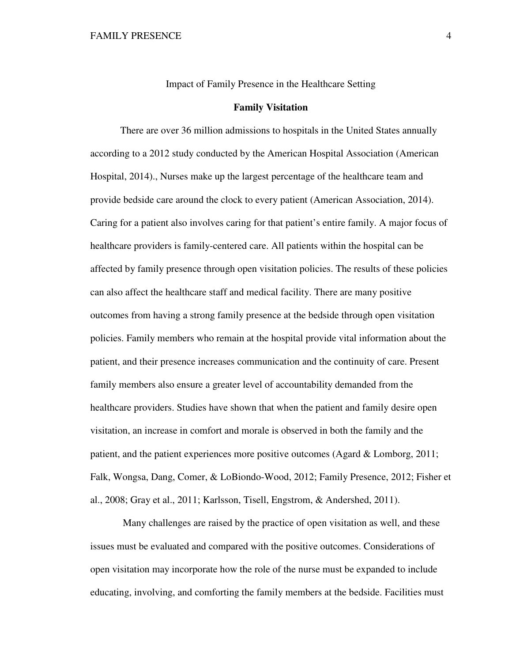Impact of Family Presence in the Healthcare Setting

## **Family Visitation**

There are over 36 million admissions to hospitals in the United States annually according to a 2012 study conducted by the American Hospital Association (American Hospital, 2014)., Nurses make up the largest percentage of the healthcare team and provide bedside care around the clock to every patient (American Association, 2014). Caring for a patient also involves caring for that patient's entire family. A major focus of healthcare providers is family-centered care. All patients within the hospital can be affected by family presence through open visitation policies. The results of these policies can also affect the healthcare staff and medical facility. There are many positive outcomes from having a strong family presence at the bedside through open visitation policies. Family members who remain at the hospital provide vital information about the patient, and their presence increases communication and the continuity of care. Present family members also ensure a greater level of accountability demanded from the healthcare providers. Studies have shown that when the patient and family desire open visitation, an increase in comfort and morale is observed in both the family and the patient, and the patient experiences more positive outcomes (Agard & Lomborg, 2011; Falk, Wongsa, Dang, Comer, & LoBiondo-Wood, 2012; Family Presence, 2012; Fisher et al., 2008; Gray et al., 2011; Karlsson, Tisell, Engstrom, & Andershed, 2011).

 Many challenges are raised by the practice of open visitation as well, and these issues must be evaluated and compared with the positive outcomes. Considerations of open visitation may incorporate how the role of the nurse must be expanded to include educating, involving, and comforting the family members at the bedside. Facilities must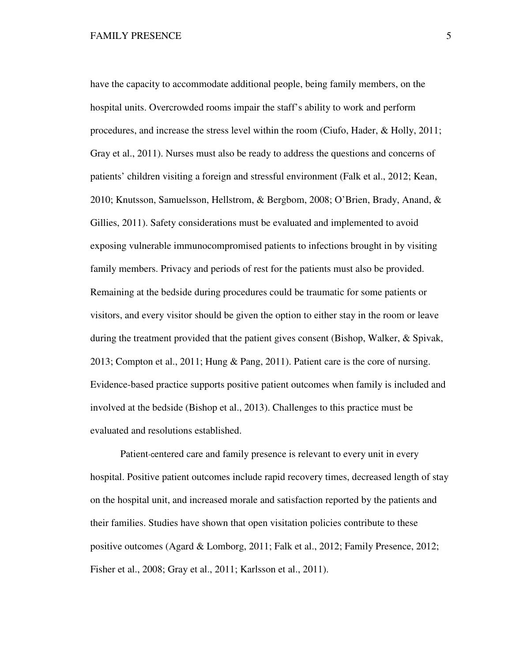have the capacity to accommodate additional people, being family members, on the hospital units. Overcrowded rooms impair the staff's ability to work and perform procedures, and increase the stress level within the room (Ciufo, Hader, & Holly, 2011; Gray et al., 2011). Nurses must also be ready to address the questions and concerns of patients' children visiting a foreign and stressful environment (Falk et al., 2012; Kean, 2010; Knutsson, Samuelsson, Hellstrom, & Bergbom, 2008; O'Brien, Brady, Anand, & Gillies, 2011). Safety considerations must be evaluated and implemented to avoid exposing vulnerable immunocompromised patients to infections brought in by visiting family members. Privacy and periods of rest for the patients must also be provided. Remaining at the bedside during procedures could be traumatic for some patients or visitors, and every visitor should be given the option to either stay in the room or leave during the treatment provided that the patient gives consent (Bishop, Walker, & Spivak, 2013; Compton et al., 2011; Hung & Pang, 2011). Patient care is the core of nursing. Evidence-based practice supports positive patient outcomes when family is included and involved at the bedside (Bishop et al., 2013). Challenges to this practice must be evaluated and resolutions established.

Patient-centered care and family presence is relevant to every unit in every hospital. Positive patient outcomes include rapid recovery times, decreased length of stay on the hospital unit, and increased morale and satisfaction reported by the patients and their families. Studies have shown that open visitation policies contribute to these positive outcomes (Agard & Lomborg, 2011; Falk et al., 2012; Family Presence, 2012; Fisher et al., 2008; Gray et al., 2011; Karlsson et al., 2011).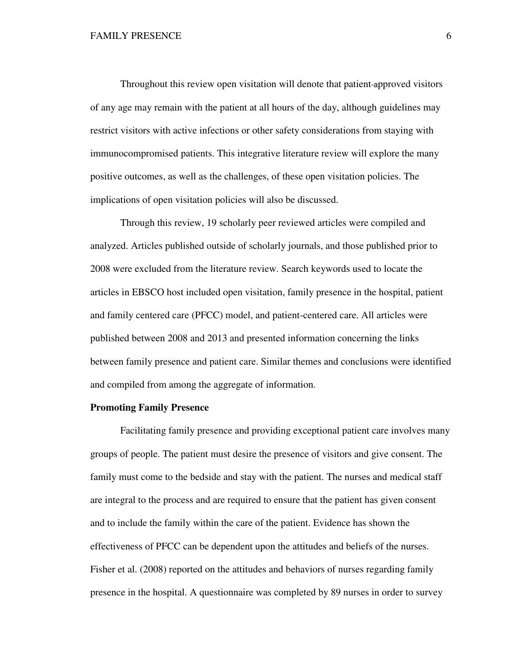Throughout this review open visitation will denote that patient-approved visitors of any age may remain with the patient at all hours of the day, although guidelines may restrict visitors with active infections or other safety considerations from staying with immunocompromised patients. This integrative literature review will explore the many positive outcomes, as well as the challenges, of these open visitation policies. The implications of open visitation policies will also be discussed.

Through this review, 19 scholarly peer reviewed articles were compiled and analyzed. Articles published outside of scholarly journals, and those published prior to 2008 were excluded from the literature review. Search keywords used to locate the articles in EBSCO host included open visitation, family presence in the hospital, patient and family centered care (PFCC) model, and patient-centered care. All articles were published between 2008 and 2013 and presented information concerning the links between family presence and patient care. Similar themes and conclusions were identified and compiled from among the aggregate of information.

## **Promoting Family Presence**

Facilitating family presence and providing exceptional patient care involves many groups of people. The patient must desire the presence of visitors and give consent. The family must come to the bedside and stay with the patient. The nurses and medical staff are integral to the process and are required to ensure that the patient has given consent and to include the family within the care of the patient. Evidence has shown the effectiveness of PFCC can be dependent upon the attitudes and beliefs of the nurses. Fisher et al. (2008) reported on the attitudes and behaviors of nurses regarding family presence in the hospital. A questionnaire was completed by 89 nurses in order to survey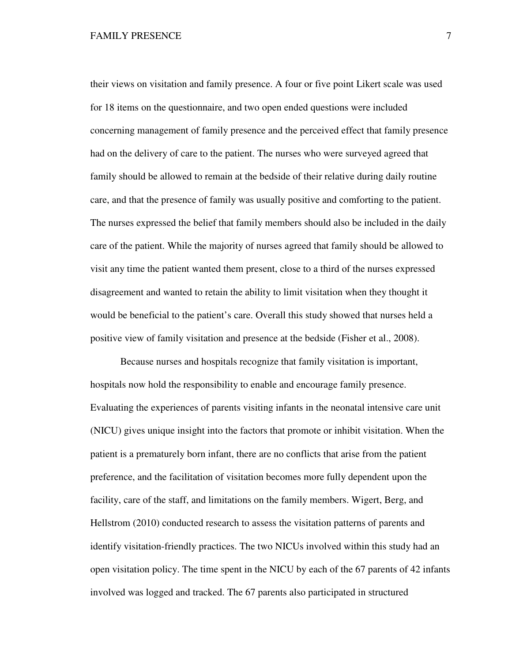their views on visitation and family presence. A four or five point Likert scale was used for 18 items on the questionnaire, and two open ended questions were included concerning management of family presence and the perceived effect that family presence had on the delivery of care to the patient. The nurses who were surveyed agreed that family should be allowed to remain at the bedside of their relative during daily routine care, and that the presence of family was usually positive and comforting to the patient. The nurses expressed the belief that family members should also be included in the daily care of the patient. While the majority of nurses agreed that family should be allowed to visit any time the patient wanted them present, close to a third of the nurses expressed disagreement and wanted to retain the ability to limit visitation when they thought it would be beneficial to the patient's care. Overall this study showed that nurses held a positive view of family visitation and presence at the bedside (Fisher et al., 2008).

Because nurses and hospitals recognize that family visitation is important, hospitals now hold the responsibility to enable and encourage family presence. Evaluating the experiences of parents visiting infants in the neonatal intensive care unit (NICU) gives unique insight into the factors that promote or inhibit visitation. When the patient is a prematurely born infant, there are no conflicts that arise from the patient preference, and the facilitation of visitation becomes more fully dependent upon the facility, care of the staff, and limitations on the family members. Wigert, Berg, and Hellstrom (2010) conducted research to assess the visitation patterns of parents and identify visitation-friendly practices. The two NICUs involved within this study had an open visitation policy. The time spent in the NICU by each of the 67 parents of 42 infants involved was logged and tracked. The 67 parents also participated in structured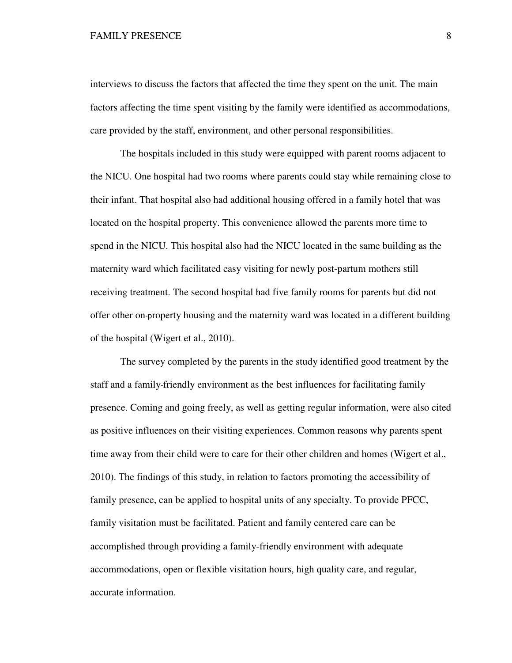interviews to discuss the factors that affected the time they spent on the unit. The main factors affecting the time spent visiting by the family were identified as accommodations, care provided by the staff, environment, and other personal responsibilities.

The hospitals included in this study were equipped with parent rooms adjacent to the NICU. One hospital had two rooms where parents could stay while remaining close to their infant. That hospital also had additional housing offered in a family hotel that was located on the hospital property. This convenience allowed the parents more time to spend in the NICU. This hospital also had the NICU located in the same building as the maternity ward which facilitated easy visiting for newly post-partum mothers still receiving treatment. The second hospital had five family rooms for parents but did not offer other on-property housing and the maternity ward was located in a different building of the hospital (Wigert et al., 2010).

The survey completed by the parents in the study identified good treatment by the staff and a family-friendly environment as the best influences for facilitating family presence. Coming and going freely, as well as getting regular information, were also cited as positive influences on their visiting experiences. Common reasons why parents spent time away from their child were to care for their other children and homes (Wigert et al., 2010). The findings of this study, in relation to factors promoting the accessibility of family presence, can be applied to hospital units of any specialty. To provide PFCC, family visitation must be facilitated. Patient and family centered care can be accomplished through providing a family-friendly environment with adequate accommodations, open or flexible visitation hours, high quality care, and regular, accurate information.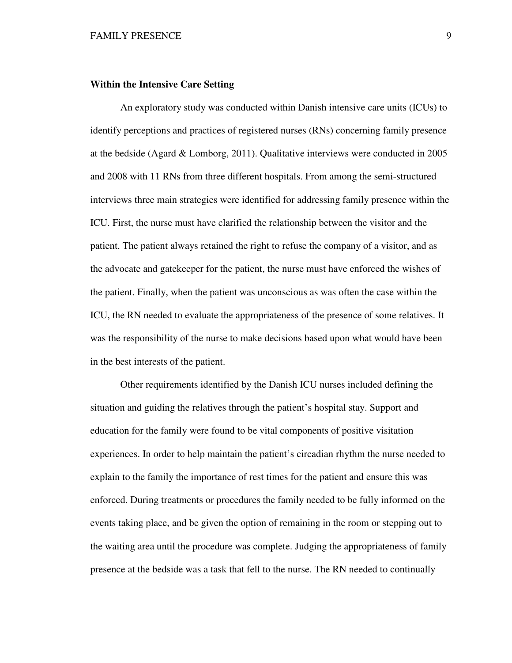## **Within the Intensive Care Setting**

An exploratory study was conducted within Danish intensive care units (ICUs) to identify perceptions and practices of registered nurses (RNs) concerning family presence at the bedside (Agard & Lomborg, 2011). Qualitative interviews were conducted in 2005 and 2008 with 11 RNs from three different hospitals. From among the semi-structured interviews three main strategies were identified for addressing family presence within the ICU. First, the nurse must have clarified the relationship between the visitor and the patient. The patient always retained the right to refuse the company of a visitor, and as the advocate and gatekeeper for the patient, the nurse must have enforced the wishes of the patient. Finally, when the patient was unconscious as was often the case within the ICU, the RN needed to evaluate the appropriateness of the presence of some relatives. It was the responsibility of the nurse to make decisions based upon what would have been in the best interests of the patient.

Other requirements identified by the Danish ICU nurses included defining the situation and guiding the relatives through the patient's hospital stay. Support and education for the family were found to be vital components of positive visitation experiences. In order to help maintain the patient's circadian rhythm the nurse needed to explain to the family the importance of rest times for the patient and ensure this was enforced. During treatments or procedures the family needed to be fully informed on the events taking place, and be given the option of remaining in the room or stepping out to the waiting area until the procedure was complete. Judging the appropriateness of family presence at the bedside was a task that fell to the nurse. The RN needed to continually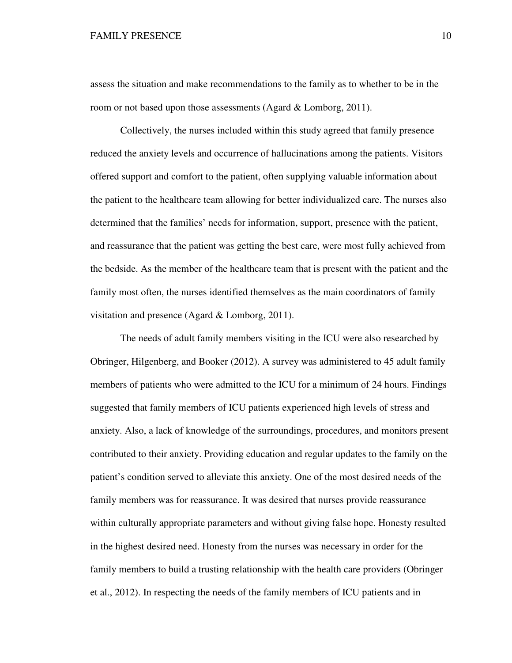assess the situation and make recommendations to the family as to whether to be in the room or not based upon those assessments (Agard & Lomborg, 2011).

Collectively, the nurses included within this study agreed that family presence reduced the anxiety levels and occurrence of hallucinations among the patients. Visitors offered support and comfort to the patient, often supplying valuable information about the patient to the healthcare team allowing for better individualized care. The nurses also determined that the families' needs for information, support, presence with the patient, and reassurance that the patient was getting the best care, were most fully achieved from the bedside. As the member of the healthcare team that is present with the patient and the family most often, the nurses identified themselves as the main coordinators of family visitation and presence (Agard & Lomborg, 2011).

The needs of adult family members visiting in the ICU were also researched by Obringer, Hilgenberg, and Booker (2012). A survey was administered to 45 adult family members of patients who were admitted to the ICU for a minimum of 24 hours. Findings suggested that family members of ICU patients experienced high levels of stress and anxiety. Also, a lack of knowledge of the surroundings, procedures, and monitors present contributed to their anxiety. Providing education and regular updates to the family on the patient's condition served to alleviate this anxiety. One of the most desired needs of the family members was for reassurance. It was desired that nurses provide reassurance within culturally appropriate parameters and without giving false hope. Honesty resulted in the highest desired need. Honesty from the nurses was necessary in order for the family members to build a trusting relationship with the health care providers (Obringer et al., 2012). In respecting the needs of the family members of ICU patients and in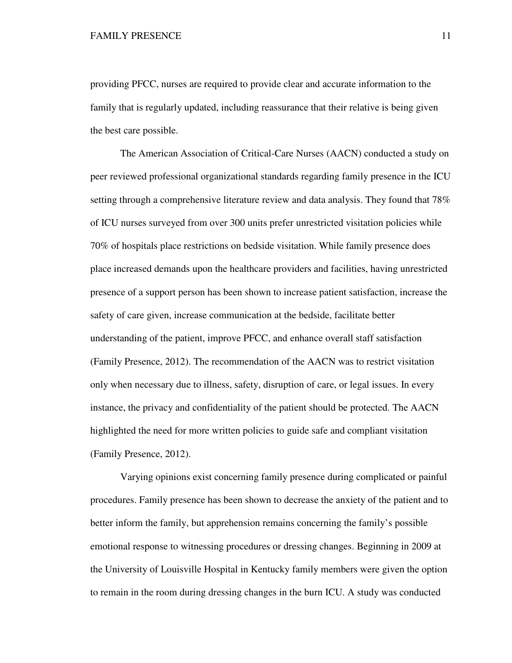providing PFCC, nurses are required to provide clear and accurate information to the family that is regularly updated, including reassurance that their relative is being given the best care possible.

The American Association of Critical-Care Nurses (AACN) conducted a study on peer reviewed professional organizational standards regarding family presence in the ICU setting through a comprehensive literature review and data analysis. They found that 78% of ICU nurses surveyed from over 300 units prefer unrestricted visitation policies while 70% of hospitals place restrictions on bedside visitation. While family presence does place increased demands upon the healthcare providers and facilities, having unrestricted presence of a support person has been shown to increase patient satisfaction, increase the safety of care given, increase communication at the bedside, facilitate better understanding of the patient, improve PFCC, and enhance overall staff satisfaction (Family Presence, 2012). The recommendation of the AACN was to restrict visitation only when necessary due to illness, safety, disruption of care, or legal issues. In every instance, the privacy and confidentiality of the patient should be protected. The AACN highlighted the need for more written policies to guide safe and compliant visitation (Family Presence, 2012).

Varying opinions exist concerning family presence during complicated or painful procedures. Family presence has been shown to decrease the anxiety of the patient and to better inform the family, but apprehension remains concerning the family's possible emotional response to witnessing procedures or dressing changes. Beginning in 2009 at the University of Louisville Hospital in Kentucky family members were given the option to remain in the room during dressing changes in the burn ICU. A study was conducted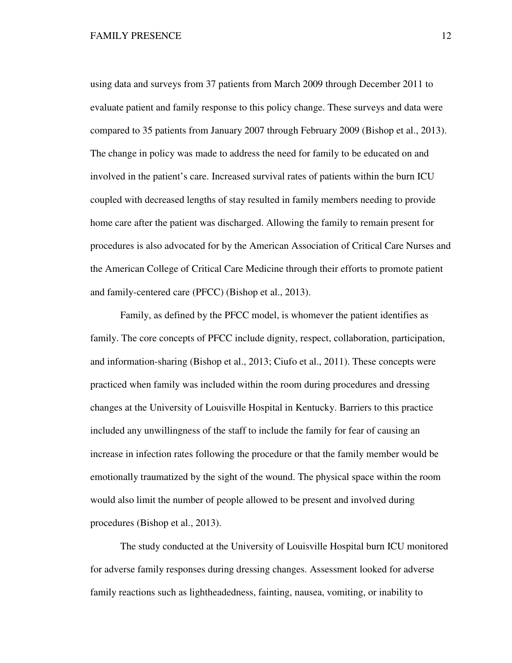using data and surveys from 37 patients from March 2009 through December 2011 to evaluate patient and family response to this policy change. These surveys and data were compared to 35 patients from January 2007 through February 2009 (Bishop et al., 2013). The change in policy was made to address the need for family to be educated on and involved in the patient's care. Increased survival rates of patients within the burn ICU coupled with decreased lengths of stay resulted in family members needing to provide home care after the patient was discharged. Allowing the family to remain present for procedures is also advocated for by the American Association of Critical Care Nurses and the American College of Critical Care Medicine through their efforts to promote patient and family-centered care (PFCC) (Bishop et al., 2013).

Family, as defined by the PFCC model, is whomever the patient identifies as family. The core concepts of PFCC include dignity, respect, collaboration, participation, and information-sharing (Bishop et al., 2013; Ciufo et al., 2011). These concepts were practiced when family was included within the room during procedures and dressing changes at the University of Louisville Hospital in Kentucky. Barriers to this practice included any unwillingness of the staff to include the family for fear of causing an increase in infection rates following the procedure or that the family member would be emotionally traumatized by the sight of the wound. The physical space within the room would also limit the number of people allowed to be present and involved during procedures (Bishop et al., 2013).

The study conducted at the University of Louisville Hospital burn ICU monitored for adverse family responses during dressing changes. Assessment looked for adverse family reactions such as lightheadedness, fainting, nausea, vomiting, or inability to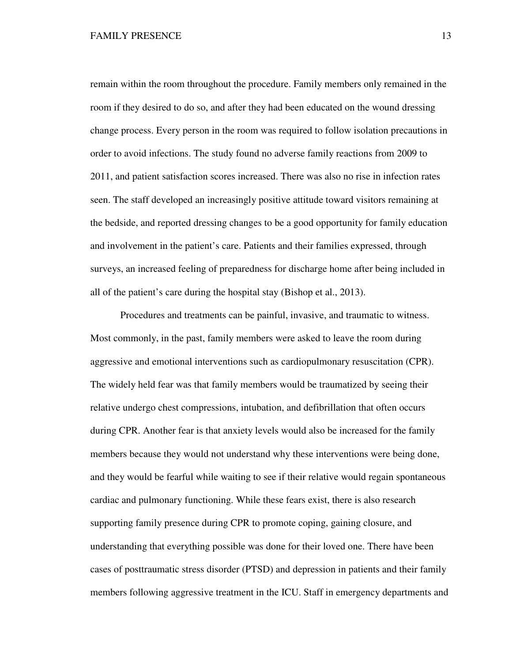remain within the room throughout the procedure. Family members only remained in the room if they desired to do so, and after they had been educated on the wound dressing change process. Every person in the room was required to follow isolation precautions in order to avoid infections. The study found no adverse family reactions from 2009 to 2011, and patient satisfaction scores increased. There was also no rise in infection rates seen. The staff developed an increasingly positive attitude toward visitors remaining at the bedside, and reported dressing changes to be a good opportunity for family education and involvement in the patient's care. Patients and their families expressed, through surveys, an increased feeling of preparedness for discharge home after being included in all of the patient's care during the hospital stay (Bishop et al., 2013).

Procedures and treatments can be painful, invasive, and traumatic to witness. Most commonly, in the past, family members were asked to leave the room during aggressive and emotional interventions such as cardiopulmonary resuscitation (CPR). The widely held fear was that family members would be traumatized by seeing their relative undergo chest compressions, intubation, and defibrillation that often occurs during CPR. Another fear is that anxiety levels would also be increased for the family members because they would not understand why these interventions were being done, and they would be fearful while waiting to see if their relative would regain spontaneous cardiac and pulmonary functioning. While these fears exist, there is also research supporting family presence during CPR to promote coping, gaining closure, and understanding that everything possible was done for their loved one. There have been cases of posttraumatic stress disorder (PTSD) and depression in patients and their family members following aggressive treatment in the ICU. Staff in emergency departments and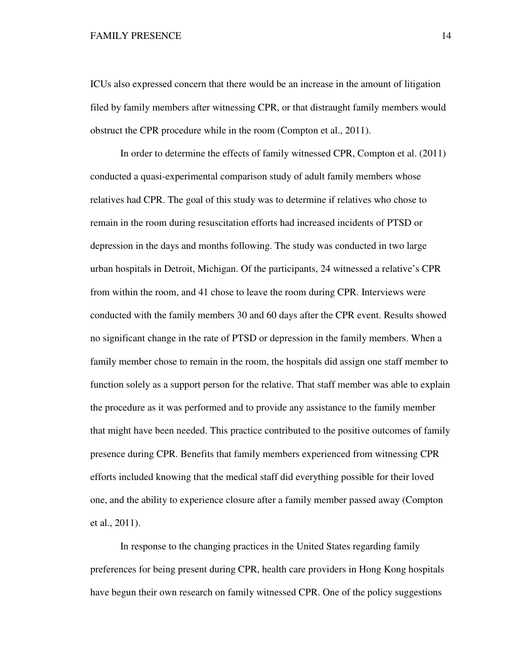ICUs also expressed concern that there would be an increase in the amount of litigation filed by family members after witnessing CPR, or that distraught family members would obstruct the CPR procedure while in the room (Compton et al., 2011).

In order to determine the effects of family witnessed CPR, Compton et al. (2011) conducted a quasi-experimental comparison study of adult family members whose relatives had CPR. The goal of this study was to determine if relatives who chose to remain in the room during resuscitation efforts had increased incidents of PTSD or depression in the days and months following. The study was conducted in two large urban hospitals in Detroit, Michigan. Of the participants, 24 witnessed a relative's CPR from within the room, and 41 chose to leave the room during CPR. Interviews were conducted with the family members 30 and 60 days after the CPR event. Results showed no significant change in the rate of PTSD or depression in the family members. When a family member chose to remain in the room, the hospitals did assign one staff member to function solely as a support person for the relative. That staff member was able to explain the procedure as it was performed and to provide any assistance to the family member that might have been needed. This practice contributed to the positive outcomes of family presence during CPR. Benefits that family members experienced from witnessing CPR efforts included knowing that the medical staff did everything possible for their loved one, and the ability to experience closure after a family member passed away (Compton et al., 2011).

In response to the changing practices in the United States regarding family preferences for being present during CPR, health care providers in Hong Kong hospitals have begun their own research on family witnessed CPR. One of the policy suggestions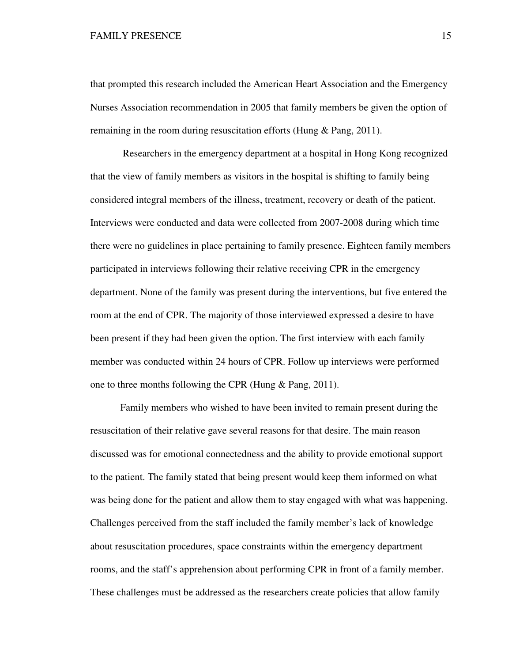that prompted this research included the American Heart Association and the Emergency Nurses Association recommendation in 2005 that family members be given the option of remaining in the room during resuscitation efforts (Hung & Pang, 2011).

 Researchers in the emergency department at a hospital in Hong Kong recognized that the view of family members as visitors in the hospital is shifting to family being considered integral members of the illness, treatment, recovery or death of the patient. Interviews were conducted and data were collected from 2007-2008 during which time there were no guidelines in place pertaining to family presence. Eighteen family members participated in interviews following their relative receiving CPR in the emergency department. None of the family was present during the interventions, but five entered the room at the end of CPR. The majority of those interviewed expressed a desire to have been present if they had been given the option. The first interview with each family member was conducted within 24 hours of CPR. Follow up interviews were performed one to three months following the CPR (Hung & Pang, 2011).

Family members who wished to have been invited to remain present during the resuscitation of their relative gave several reasons for that desire. The main reason discussed was for emotional connectedness and the ability to provide emotional support to the patient. The family stated that being present would keep them informed on what was being done for the patient and allow them to stay engaged with what was happening. Challenges perceived from the staff included the family member's lack of knowledge about resuscitation procedures, space constraints within the emergency department rooms, and the staff's apprehension about performing CPR in front of a family member. These challenges must be addressed as the researchers create policies that allow family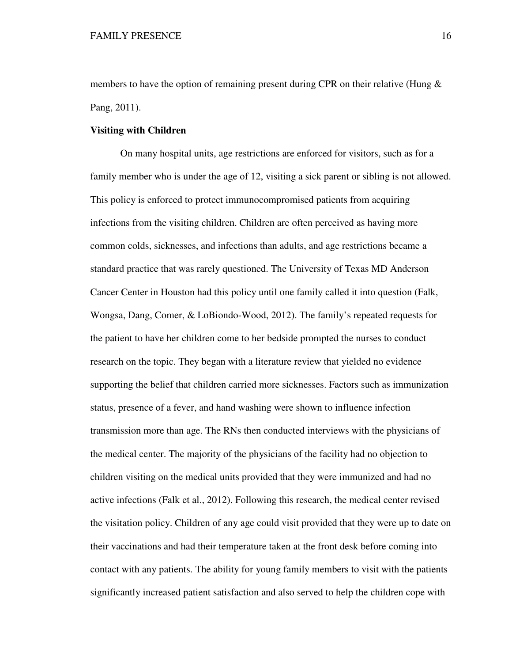members to have the option of remaining present during CPR on their relative (Hung  $\&$ Pang, 2011).

## **Visiting with Children**

On many hospital units, age restrictions are enforced for visitors, such as for a family member who is under the age of 12, visiting a sick parent or sibling is not allowed. This policy is enforced to protect immunocompromised patients from acquiring infections from the visiting children. Children are often perceived as having more common colds, sicknesses, and infections than adults, and age restrictions became a standard practice that was rarely questioned. The University of Texas MD Anderson Cancer Center in Houston had this policy until one family called it into question (Falk, Wongsa, Dang, Comer, & LoBiondo-Wood, 2012). The family's repeated requests for the patient to have her children come to her bedside prompted the nurses to conduct research on the topic. They began with a literature review that yielded no evidence supporting the belief that children carried more sicknesses. Factors such as immunization status, presence of a fever, and hand washing were shown to influence infection transmission more than age. The RNs then conducted interviews with the physicians of the medical center. The majority of the physicians of the facility had no objection to children visiting on the medical units provided that they were immunized and had no active infections (Falk et al., 2012). Following this research, the medical center revised the visitation policy. Children of any age could visit provided that they were up to date on their vaccinations and had their temperature taken at the front desk before coming into contact with any patients. The ability for young family members to visit with the patients significantly increased patient satisfaction and also served to help the children cope with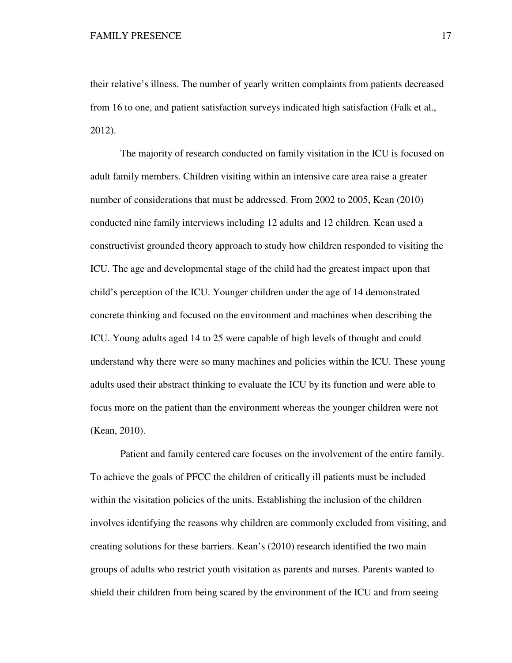their relative's illness. The number of yearly written complaints from patients decreased from 16 to one, and patient satisfaction surveys indicated high satisfaction (Falk et al., 2012).

The majority of research conducted on family visitation in the ICU is focused on adult family members. Children visiting within an intensive care area raise a greater number of considerations that must be addressed. From 2002 to 2005, Kean (2010) conducted nine family interviews including 12 adults and 12 children. Kean used a constructivist grounded theory approach to study how children responded to visiting the ICU. The age and developmental stage of the child had the greatest impact upon that child's perception of the ICU. Younger children under the age of 14 demonstrated concrete thinking and focused on the environment and machines when describing the ICU. Young adults aged 14 to 25 were capable of high levels of thought and could understand why there were so many machines and policies within the ICU. These young adults used their abstract thinking to evaluate the ICU by its function and were able to focus more on the patient than the environment whereas the younger children were not (Kean, 2010).

Patient and family centered care focuses on the involvement of the entire family. To achieve the goals of PFCC the children of critically ill patients must be included within the visitation policies of the units. Establishing the inclusion of the children involves identifying the reasons why children are commonly excluded from visiting, and creating solutions for these barriers. Kean's (2010) research identified the two main groups of adults who restrict youth visitation as parents and nurses. Parents wanted to shield their children from being scared by the environment of the ICU and from seeing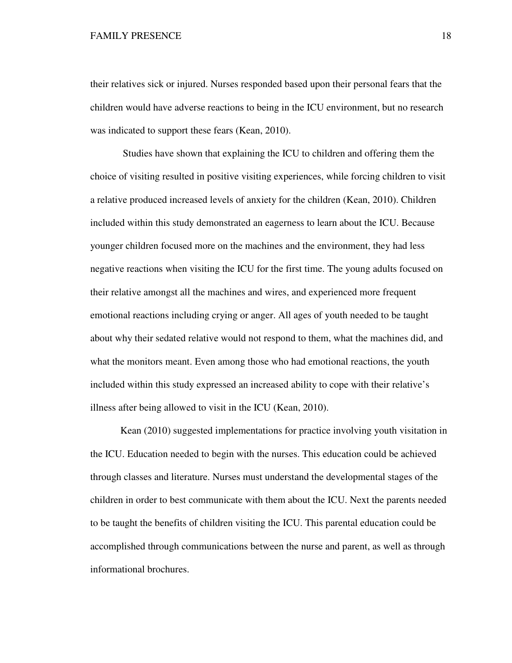their relatives sick or injured. Nurses responded based upon their personal fears that the children would have adverse reactions to being in the ICU environment, but no research was indicated to support these fears (Kean, 2010).

 Studies have shown that explaining the ICU to children and offering them the choice of visiting resulted in positive visiting experiences, while forcing children to visit a relative produced increased levels of anxiety for the children (Kean, 2010). Children included within this study demonstrated an eagerness to learn about the ICU. Because younger children focused more on the machines and the environment, they had less negative reactions when visiting the ICU for the first time. The young adults focused on their relative amongst all the machines and wires, and experienced more frequent emotional reactions including crying or anger. All ages of youth needed to be taught about why their sedated relative would not respond to them, what the machines did, and what the monitors meant. Even among those who had emotional reactions, the youth included within this study expressed an increased ability to cope with their relative's illness after being allowed to visit in the ICU (Kean, 2010).

Kean (2010) suggested implementations for practice involving youth visitation in the ICU. Education needed to begin with the nurses. This education could be achieved through classes and literature. Nurses must understand the developmental stages of the children in order to best communicate with them about the ICU. Next the parents needed to be taught the benefits of children visiting the ICU. This parental education could be accomplished through communications between the nurse and parent, as well as through informational brochures.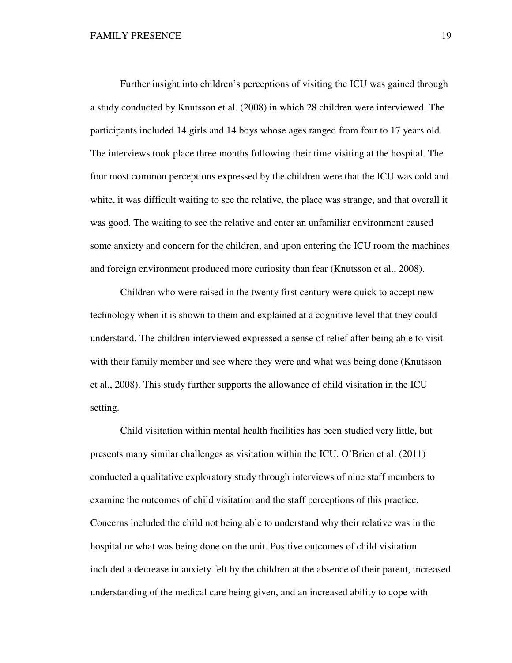Further insight into children's perceptions of visiting the ICU was gained through a study conducted by Knutsson et al. (2008) in which 28 children were interviewed. The participants included 14 girls and 14 boys whose ages ranged from four to 17 years old. The interviews took place three months following their time visiting at the hospital. The four most common perceptions expressed by the children were that the ICU was cold and white, it was difficult waiting to see the relative, the place was strange, and that overall it was good. The waiting to see the relative and enter an unfamiliar environment caused some anxiety and concern for the children, and upon entering the ICU room the machines and foreign environment produced more curiosity than fear (Knutsson et al., 2008).

Children who were raised in the twenty first century were quick to accept new technology when it is shown to them and explained at a cognitive level that they could understand. The children interviewed expressed a sense of relief after being able to visit with their family member and see where they were and what was being done (Knutsson et al., 2008). This study further supports the allowance of child visitation in the ICU setting.

Child visitation within mental health facilities has been studied very little, but presents many similar challenges as visitation within the ICU. O'Brien et al. (2011) conducted a qualitative exploratory study through interviews of nine staff members to examine the outcomes of child visitation and the staff perceptions of this practice. Concerns included the child not being able to understand why their relative was in the hospital or what was being done on the unit. Positive outcomes of child visitation included a decrease in anxiety felt by the children at the absence of their parent, increased understanding of the medical care being given, and an increased ability to cope with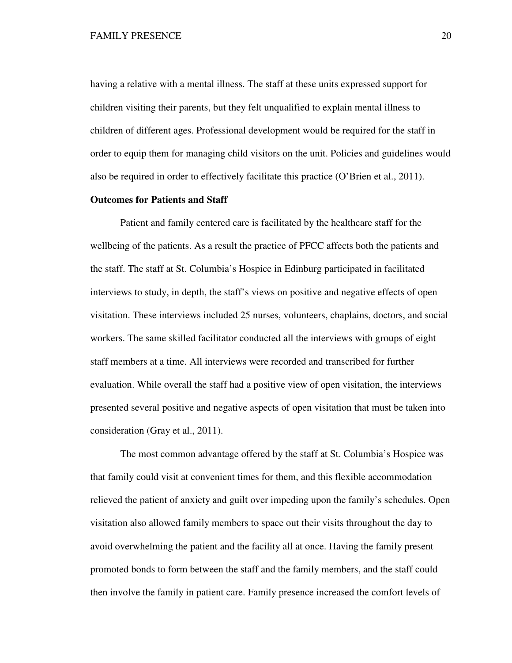having a relative with a mental illness. The staff at these units expressed support for children visiting their parents, but they felt unqualified to explain mental illness to children of different ages. Professional development would be required for the staff in order to equip them for managing child visitors on the unit. Policies and guidelines would also be required in order to effectively facilitate this practice (O'Brien et al., 2011).

# **Outcomes for Patients and Staff**

Patient and family centered care is facilitated by the healthcare staff for the wellbeing of the patients. As a result the practice of PFCC affects both the patients and the staff. The staff at St. Columbia's Hospice in Edinburg participated in facilitated interviews to study, in depth, the staff's views on positive and negative effects of open visitation. These interviews included 25 nurses, volunteers, chaplains, doctors, and social workers. The same skilled facilitator conducted all the interviews with groups of eight staff members at a time. All interviews were recorded and transcribed for further evaluation. While overall the staff had a positive view of open visitation, the interviews presented several positive and negative aspects of open visitation that must be taken into consideration (Gray et al., 2011).

The most common advantage offered by the staff at St. Columbia's Hospice was that family could visit at convenient times for them, and this flexible accommodation relieved the patient of anxiety and guilt over impeding upon the family's schedules. Open visitation also allowed family members to space out their visits throughout the day to avoid overwhelming the patient and the facility all at once. Having the family present promoted bonds to form between the staff and the family members, and the staff could then involve the family in patient care. Family presence increased the comfort levels of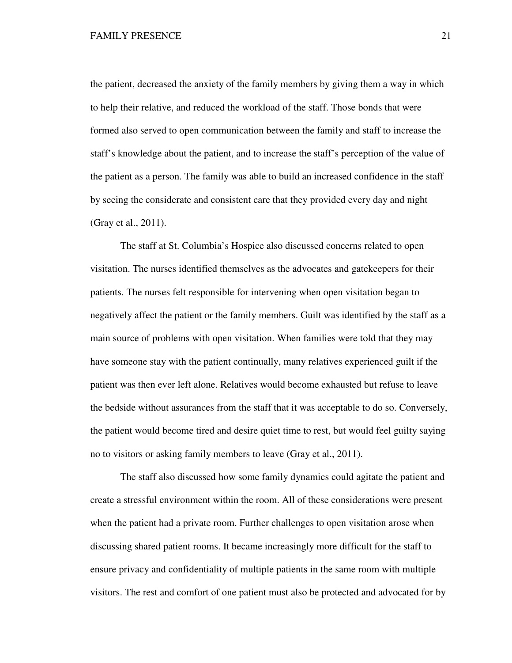the patient, decreased the anxiety of the family members by giving them a way in which to help their relative, and reduced the workload of the staff. Those bonds that were formed also served to open communication between the family and staff to increase the staff's knowledge about the patient, and to increase the staff's perception of the value of the patient as a person. The family was able to build an increased confidence in the staff by seeing the considerate and consistent care that they provided every day and night (Gray et al., 2011).

The staff at St. Columbia's Hospice also discussed concerns related to open visitation. The nurses identified themselves as the advocates and gatekeepers for their patients. The nurses felt responsible for intervening when open visitation began to negatively affect the patient or the family members. Guilt was identified by the staff as a main source of problems with open visitation. When families were told that they may have someone stay with the patient continually, many relatives experienced guilt if the patient was then ever left alone. Relatives would become exhausted but refuse to leave the bedside without assurances from the staff that it was acceptable to do so. Conversely, the patient would become tired and desire quiet time to rest, but would feel guilty saying no to visitors or asking family members to leave (Gray et al., 2011).

The staff also discussed how some family dynamics could agitate the patient and create a stressful environment within the room. All of these considerations were present when the patient had a private room. Further challenges to open visitation arose when discussing shared patient rooms. It became increasingly more difficult for the staff to ensure privacy and confidentiality of multiple patients in the same room with multiple visitors. The rest and comfort of one patient must also be protected and advocated for by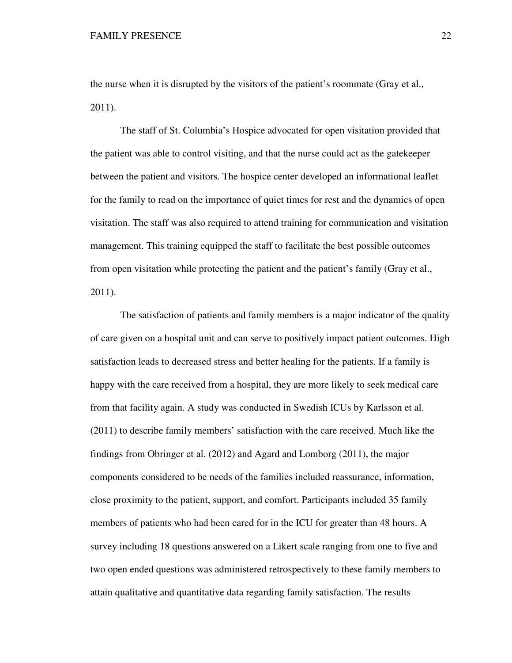the nurse when it is disrupted by the visitors of the patient's roommate (Gray et al., 2011).

The staff of St. Columbia's Hospice advocated for open visitation provided that the patient was able to control visiting, and that the nurse could act as the gatekeeper between the patient and visitors. The hospice center developed an informational leaflet for the family to read on the importance of quiet times for rest and the dynamics of open visitation. The staff was also required to attend training for communication and visitation management. This training equipped the staff to facilitate the best possible outcomes from open visitation while protecting the patient and the patient's family (Gray et al., 2011).

The satisfaction of patients and family members is a major indicator of the quality of care given on a hospital unit and can serve to positively impact patient outcomes. High satisfaction leads to decreased stress and better healing for the patients. If a family is happy with the care received from a hospital, they are more likely to seek medical care from that facility again. A study was conducted in Swedish ICUs by Karlsson et al. (2011) to describe family members' satisfaction with the care received. Much like the findings from Obringer et al. (2012) and Agard and Lomborg (2011), the major components considered to be needs of the families included reassurance, information, close proximity to the patient, support, and comfort. Participants included 35 family members of patients who had been cared for in the ICU for greater than 48 hours. A survey including 18 questions answered on a Likert scale ranging from one to five and two open ended questions was administered retrospectively to these family members to attain qualitative and quantitative data regarding family satisfaction. The results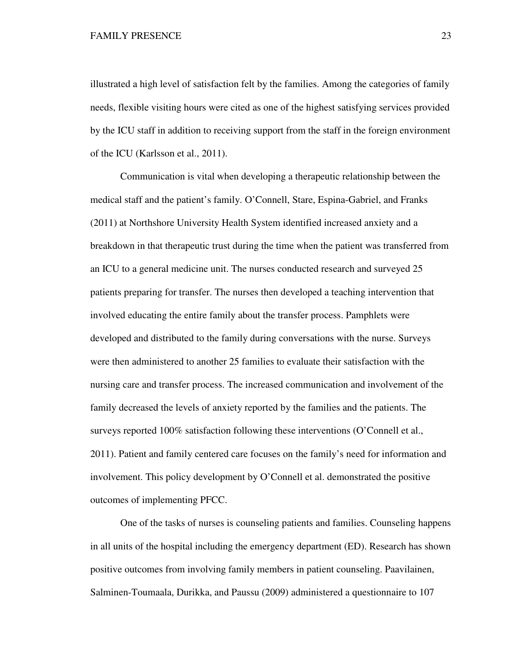illustrated a high level of satisfaction felt by the families. Among the categories of family needs, flexible visiting hours were cited as one of the highest satisfying services provided by the ICU staff in addition to receiving support from the staff in the foreign environment of the ICU (Karlsson et al., 2011).

Communication is vital when developing a therapeutic relationship between the medical staff and the patient's family. O'Connell, Stare, Espina-Gabriel, and Franks (2011) at Northshore University Health System identified increased anxiety and a breakdown in that therapeutic trust during the time when the patient was transferred from an ICU to a general medicine unit. The nurses conducted research and surveyed 25 patients preparing for transfer. The nurses then developed a teaching intervention that involved educating the entire family about the transfer process. Pamphlets were developed and distributed to the family during conversations with the nurse. Surveys were then administered to another 25 families to evaluate their satisfaction with the nursing care and transfer process. The increased communication and involvement of the family decreased the levels of anxiety reported by the families and the patients. The surveys reported 100% satisfaction following these interventions (O'Connell et al., 2011). Patient and family centered care focuses on the family's need for information and involvement. This policy development by O'Connell et al. demonstrated the positive outcomes of implementing PFCC.

One of the tasks of nurses is counseling patients and families. Counseling happens in all units of the hospital including the emergency department (ED). Research has shown positive outcomes from involving family members in patient counseling. Paavilainen, Salminen-Toumaala, Durikka, and Paussu (2009) administered a questionnaire to 107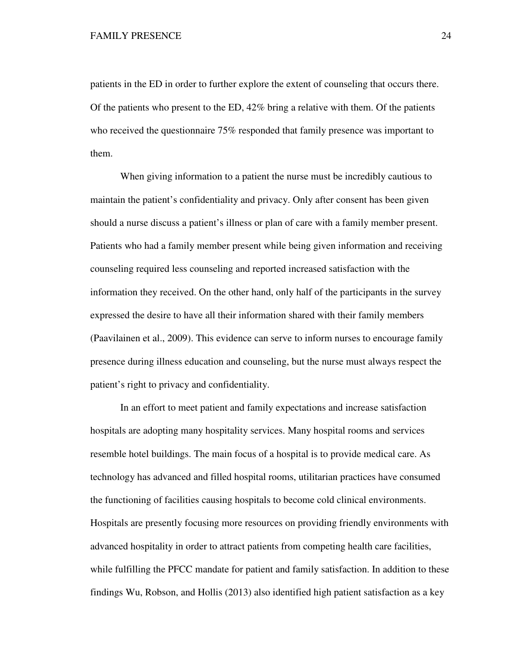patients in the ED in order to further explore the extent of counseling that occurs there. Of the patients who present to the ED, 42% bring a relative with them. Of the patients who received the questionnaire 75% responded that family presence was important to them.

When giving information to a patient the nurse must be incredibly cautious to maintain the patient's confidentiality and privacy. Only after consent has been given should a nurse discuss a patient's illness or plan of care with a family member present. Patients who had a family member present while being given information and receiving counseling required less counseling and reported increased satisfaction with the information they received. On the other hand, only half of the participants in the survey expressed the desire to have all their information shared with their family members (Paavilainen et al., 2009). This evidence can serve to inform nurses to encourage family presence during illness education and counseling, but the nurse must always respect the patient's right to privacy and confidentiality.

In an effort to meet patient and family expectations and increase satisfaction hospitals are adopting many hospitality services. Many hospital rooms and services resemble hotel buildings. The main focus of a hospital is to provide medical care. As technology has advanced and filled hospital rooms, utilitarian practices have consumed the functioning of facilities causing hospitals to become cold clinical environments. Hospitals are presently focusing more resources on providing friendly environments with advanced hospitality in order to attract patients from competing health care facilities, while fulfilling the PFCC mandate for patient and family satisfaction. In addition to these findings Wu, Robson, and Hollis (2013) also identified high patient satisfaction as a key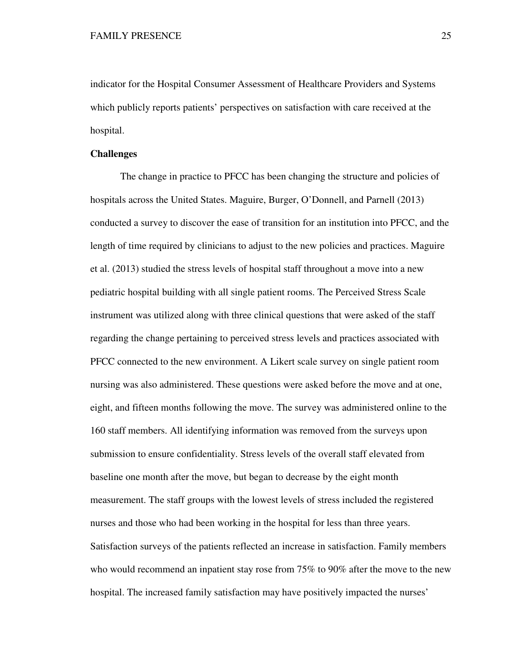indicator for the Hospital Consumer Assessment of Healthcare Providers and Systems which publicly reports patients' perspectives on satisfaction with care received at the hospital.

## **Challenges**

The change in practice to PFCC has been changing the structure and policies of hospitals across the United States. Maguire, Burger, O'Donnell, and Parnell (2013) conducted a survey to discover the ease of transition for an institution into PFCC, and the length of time required by clinicians to adjust to the new policies and practices. Maguire et al. (2013) studied the stress levels of hospital staff throughout a move into a new pediatric hospital building with all single patient rooms. The Perceived Stress Scale instrument was utilized along with three clinical questions that were asked of the staff regarding the change pertaining to perceived stress levels and practices associated with PFCC connected to the new environment. A Likert scale survey on single patient room nursing was also administered. These questions were asked before the move and at one, eight, and fifteen months following the move. The survey was administered online to the 160 staff members. All identifying information was removed from the surveys upon submission to ensure confidentiality. Stress levels of the overall staff elevated from baseline one month after the move, but began to decrease by the eight month measurement. The staff groups with the lowest levels of stress included the registered nurses and those who had been working in the hospital for less than three years. Satisfaction surveys of the patients reflected an increase in satisfaction. Family members who would recommend an inpatient stay rose from 75% to 90% after the move to the new hospital. The increased family satisfaction may have positively impacted the nurses'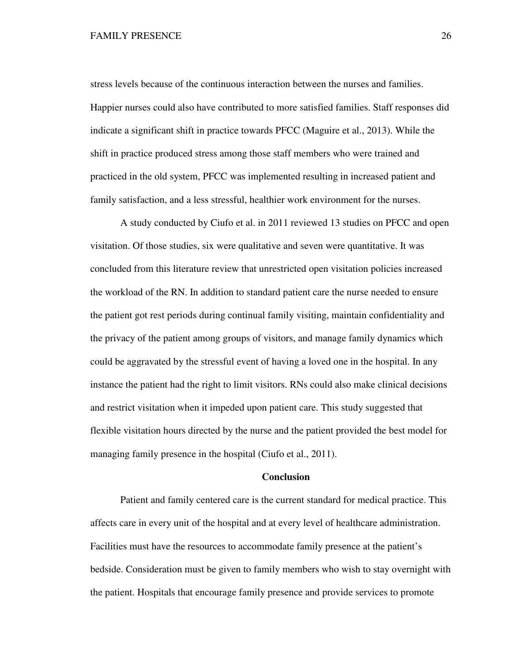stress levels because of the continuous interaction between the nurses and families. Happier nurses could also have contributed to more satisfied families. Staff responses did indicate a significant shift in practice towards PFCC (Maguire et al., 2013). While the shift in practice produced stress among those staff members who were trained and practiced in the old system, PFCC was implemented resulting in increased patient and family satisfaction, and a less stressful, healthier work environment for the nurses.

A study conducted by Ciufo et al. in 2011 reviewed 13 studies on PFCC and open visitation. Of those studies, six were qualitative and seven were quantitative. It was concluded from this literature review that unrestricted open visitation policies increased the workload of the RN. In addition to standard patient care the nurse needed to ensure the patient got rest periods during continual family visiting, maintain confidentiality and the privacy of the patient among groups of visitors, and manage family dynamics which could be aggravated by the stressful event of having a loved one in the hospital. In any instance the patient had the right to limit visitors. RNs could also make clinical decisions and restrict visitation when it impeded upon patient care. This study suggested that flexible visitation hours directed by the nurse and the patient provided the best model for managing family presence in the hospital (Ciufo et al., 2011).

## **Conclusion**

Patient and family centered care is the current standard for medical practice. This affects care in every unit of the hospital and at every level of healthcare administration. Facilities must have the resources to accommodate family presence at the patient's bedside. Consideration must be given to family members who wish to stay overnight with the patient. Hospitals that encourage family presence and provide services to promote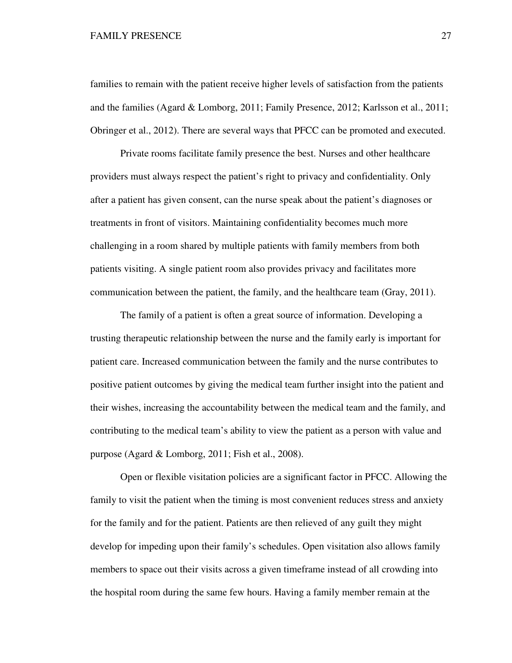families to remain with the patient receive higher levels of satisfaction from the patients and the families (Agard & Lomborg, 2011; Family Presence, 2012; Karlsson et al., 2011; Obringer et al., 2012). There are several ways that PFCC can be promoted and executed.

Private rooms facilitate family presence the best. Nurses and other healthcare providers must always respect the patient's right to privacy and confidentiality. Only after a patient has given consent, can the nurse speak about the patient's diagnoses or treatments in front of visitors. Maintaining confidentiality becomes much more challenging in a room shared by multiple patients with family members from both patients visiting. A single patient room also provides privacy and facilitates more communication between the patient, the family, and the healthcare team (Gray, 2011).

The family of a patient is often a great source of information. Developing a trusting therapeutic relationship between the nurse and the family early is important for patient care. Increased communication between the family and the nurse contributes to positive patient outcomes by giving the medical team further insight into the patient and their wishes, increasing the accountability between the medical team and the family, and contributing to the medical team's ability to view the patient as a person with value and purpose (Agard & Lomborg, 2011; Fish et al., 2008).

Open or flexible visitation policies are a significant factor in PFCC. Allowing the family to visit the patient when the timing is most convenient reduces stress and anxiety for the family and for the patient. Patients are then relieved of any guilt they might develop for impeding upon their family's schedules. Open visitation also allows family members to space out their visits across a given timeframe instead of all crowding into the hospital room during the same few hours. Having a family member remain at the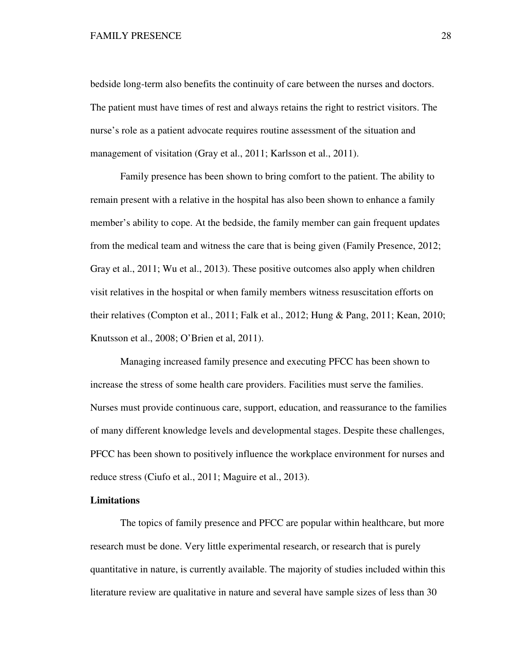bedside long-term also benefits the continuity of care between the nurses and doctors. The patient must have times of rest and always retains the right to restrict visitors. The nurse's role as a patient advocate requires routine assessment of the situation and management of visitation (Gray et al., 2011; Karlsson et al., 2011).

Family presence has been shown to bring comfort to the patient. The ability to remain present with a relative in the hospital has also been shown to enhance a family member's ability to cope. At the bedside, the family member can gain frequent updates from the medical team and witness the care that is being given (Family Presence, 2012; Gray et al., 2011; Wu et al., 2013). These positive outcomes also apply when children visit relatives in the hospital or when family members witness resuscitation efforts on their relatives (Compton et al., 2011; Falk et al., 2012; Hung & Pang, 2011; Kean, 2010; Knutsson et al., 2008; O'Brien et al, 2011).

Managing increased family presence and executing PFCC has been shown to increase the stress of some health care providers. Facilities must serve the families. Nurses must provide continuous care, support, education, and reassurance to the families of many different knowledge levels and developmental stages. Despite these challenges, PFCC has been shown to positively influence the workplace environment for nurses and reduce stress (Ciufo et al., 2011; Maguire et al., 2013).

## **Limitations**

The topics of family presence and PFCC are popular within healthcare, but more research must be done. Very little experimental research, or research that is purely quantitative in nature, is currently available. The majority of studies included within this literature review are qualitative in nature and several have sample sizes of less than 30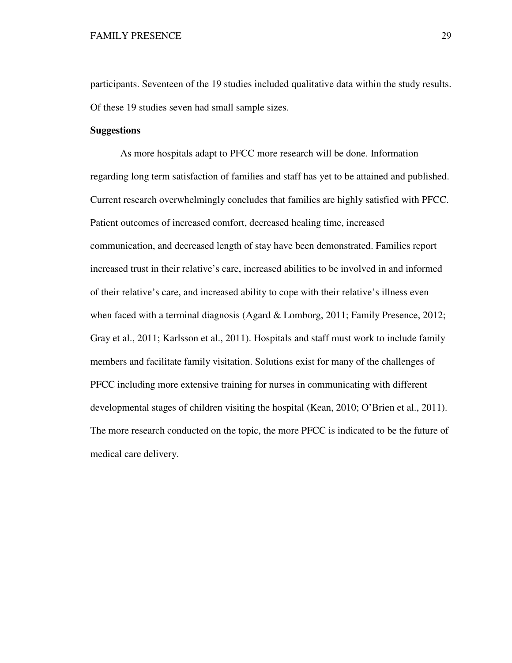participants. Seventeen of the 19 studies included qualitative data within the study results. Of these 19 studies seven had small sample sizes.

## **Suggestions**

As more hospitals adapt to PFCC more research will be done. Information regarding long term satisfaction of families and staff has yet to be attained and published. Current research overwhelmingly concludes that families are highly satisfied with PFCC. Patient outcomes of increased comfort, decreased healing time, increased communication, and decreased length of stay have been demonstrated. Families report increased trust in their relative's care, increased abilities to be involved in and informed of their relative's care, and increased ability to cope with their relative's illness even when faced with a terminal diagnosis (Agard & Lomborg, 2011; Family Presence, 2012; Gray et al., 2011; Karlsson et al., 2011). Hospitals and staff must work to include family members and facilitate family visitation. Solutions exist for many of the challenges of PFCC including more extensive training for nurses in communicating with different developmental stages of children visiting the hospital (Kean, 2010; O'Brien et al., 2011). The more research conducted on the topic, the more PFCC is indicated to be the future of medical care delivery.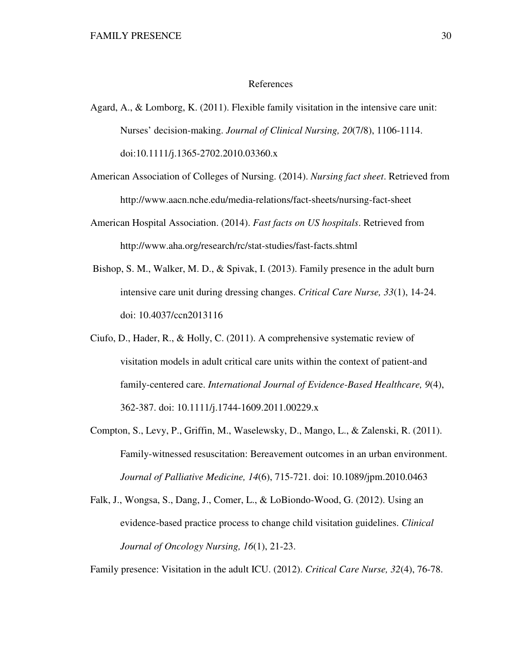#### References

Agard, A., & Lomborg, K. (2011). Flexible family visitation in the intensive care unit: Nurses' decision-making. *Journal of Clinical Nursing, 20*(7/8), 1106-1114. doi:10.1111/j.1365-2702.2010.03360.x

American Association of Colleges of Nursing. (2014). *Nursing fact sheet*. Retrieved from http://www.aacn.nche.edu/media-relations/fact-sheets/nursing-fact-sheet

American Hospital Association. (2014). *Fast facts on US hospitals*. Retrieved from http://www.aha.org/research/rc/stat-studies/fast-facts.shtml

- Bishop, S. M., Walker, M. D., & Spivak, I. (2013). Family presence in the adult burn intensive care unit during dressing changes. *Critical Care Nurse, 33*(1), 14-24. doi: 10.4037/ccn2013116
- Ciufo, D., Hader, R., & Holly, C. (2011). A comprehensive systematic review of visitation models in adult critical care units within the context of patient-and family-centered care. *International Journal of Evidence-Based Healthcare, 9*(4), 362-387. doi: 10.1111/j.1744-1609.2011.00229.x
- Compton, S., Levy, P., Griffin, M., Waselewsky, D., Mango, L., & Zalenski, R. (2011). Family-witnessed resuscitation: Bereavement outcomes in an urban environment. *Journal of Palliative Medicine, 14*(6), 715-721. doi: 10.1089/jpm.2010.0463
- Falk, J., Wongsa, S., Dang, J., Comer, L., & LoBiondo-Wood, G. (2012). Using an evidence-based practice process to change child visitation guidelines. *Clinical Journal of Oncology Nursing, 16*(1), 21-23.

Family presence: Visitation in the adult ICU. (2012). *Critical Care Nurse, 32*(4), 76-78.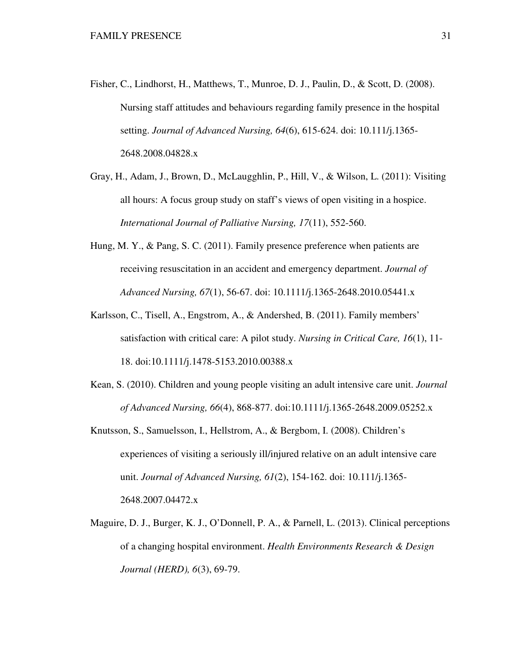- Fisher, C., Lindhorst, H., Matthews, T., Munroe, D. J., Paulin, D., & Scott, D. (2008). Nursing staff attitudes and behaviours regarding family presence in the hospital setting. *Journal of Advanced Nursing, 64*(6), 615-624. doi: 10.111/j.1365- 2648.2008.04828.x
- Gray, H., Adam, J., Brown, D., McLaugghlin, P., Hill, V., & Wilson, L. (2011): Visiting all hours: A focus group study on staff's views of open visiting in a hospice. *International Journal of Palliative Nursing, 17*(11), 552-560.
- Hung, M. Y., & Pang, S. C. (2011). Family presence preference when patients are receiving resuscitation in an accident and emergency department. *Journal of Advanced Nursing, 67*(1), 56-67. doi: 10.1111/j.1365-2648.2010.05441.x
- Karlsson, C., Tisell, A., Engstrom, A., & Andershed, B. (2011). Family members' satisfaction with critical care: A pilot study. *Nursing in Critical Care, 16*(1), 11- 18. doi:10.1111/j.1478-5153.2010.00388.x
- Kean, S. (2010). Children and young people visiting an adult intensive care unit. *Journal of Advanced Nursing, 66*(4), 868-877. doi:10.1111/j.1365-2648.2009.05252.x
- Knutsson, S., Samuelsson, I., Hellstrom, A., & Bergbom, I. (2008). Children's experiences of visiting a seriously ill/injured relative on an adult intensive care unit. *Journal of Advanced Nursing, 61*(2), 154-162. doi: 10.111/j.1365- 2648.2007.04472.x
- Maguire, D. J., Burger, K. J., O'Donnell, P. A., & Parnell, L. (2013). Clinical perceptions of a changing hospital environment. *Health Environments Research & Design Journal (HERD), 6*(3), 69-79.